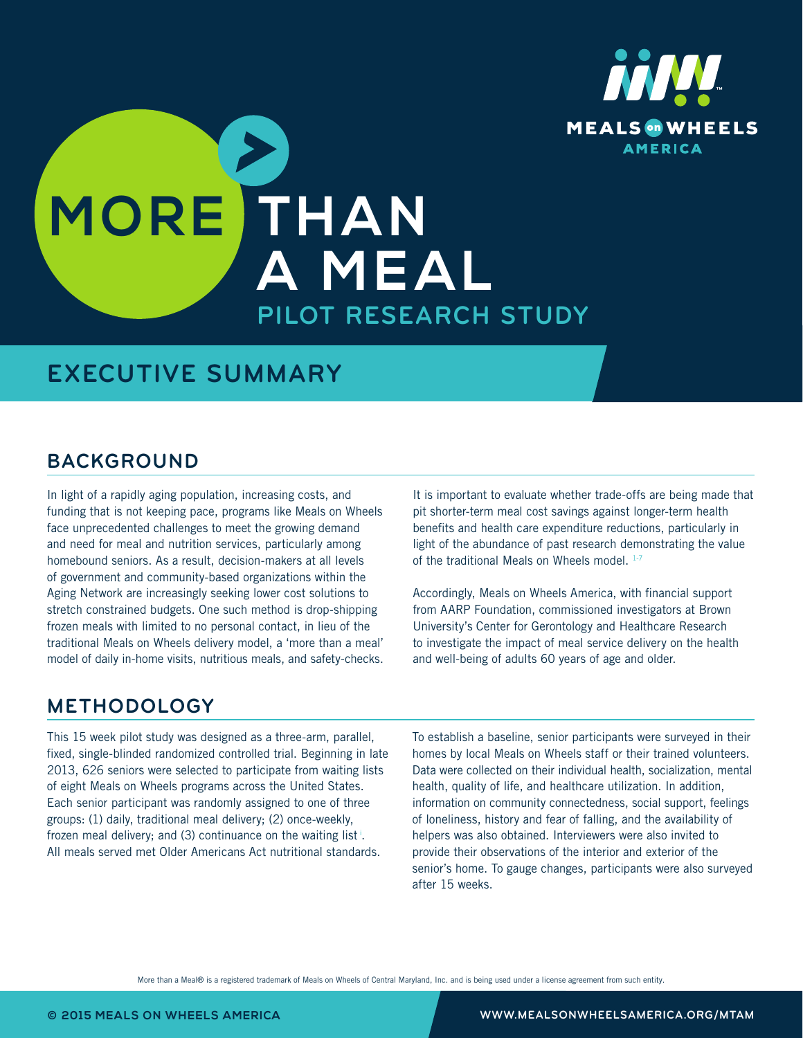

# **MORE THAN A MEAL PILOT RESEARCH STUDY**

### **EXECUTIVE SUMMARY**

### **BACKGROUND**

In light of a rapidly aging population, increasing costs, and funding that is not keeping pace, programs like Meals on Wheels face unprecedented challenges to meet the growing demand and need for meal and nutrition services, particularly among homebound seniors. As a result, decision-makers at all levels of government and community-based organizations within the Aging Network are increasingly seeking lower cost solutions to stretch constrained budgets. One such method is drop-shipping frozen meals with limited to no personal contact, in lieu of the traditional Meals on Wheels delivery model, a 'more than a meal' model of daily in-home visits, nutritious meals, and safety-checks. It is important to evaluate whether trade-offs are being made that pit shorter-term meal cost savings against longer-term health benefits and health care expenditure reductions, particularly in light of the abundance of past research demonstrating the value of the traditional Meals on Wheels model. 1-7

Accordingly, Meals on Wheels America, with financial support from AARP Foundation, commissioned investigators at Brown University's Center for Gerontology and Healthcare Research to investigate the impact of meal service delivery on the health and well-being of adults 60 years of age and older.

### **METHODOLOGY**

This 15 week pilot study was designed as a three-arm, parallel, fixed, single-blinded randomized controlled trial. Beginning in late 2013, 626 seniors were selected to participate from waiting lists of eight Meals on Wheels programs across the United States. Each senior participant was randomly assigned to one of three groups: (1) daily, traditional meal delivery; (2) once-weekly, frozen meal delivery; and (3) continuance on the waiting list<sup>i</sup>. All meals served met Older Americans Act nutritional standards.

To establish a baseline, senior participants were surveyed in their homes by local Meals on Wheels staff or their trained volunteers. Data were collected on their individual health, socialization, mental health, quality of life, and healthcare utilization. In addition, information on community connectedness, social support, feelings of loneliness, history and fear of falling, and the availability of helpers was also obtained. Interviewers were also invited to provide their observations of the interior and exterior of the senior's home. To gauge changes, participants were also surveyed after 15 weeks.

More than a Meal® is a registered trademark of Meals on Wheels of Central Maryland, Inc. and is being used under a license agreement from such entity.